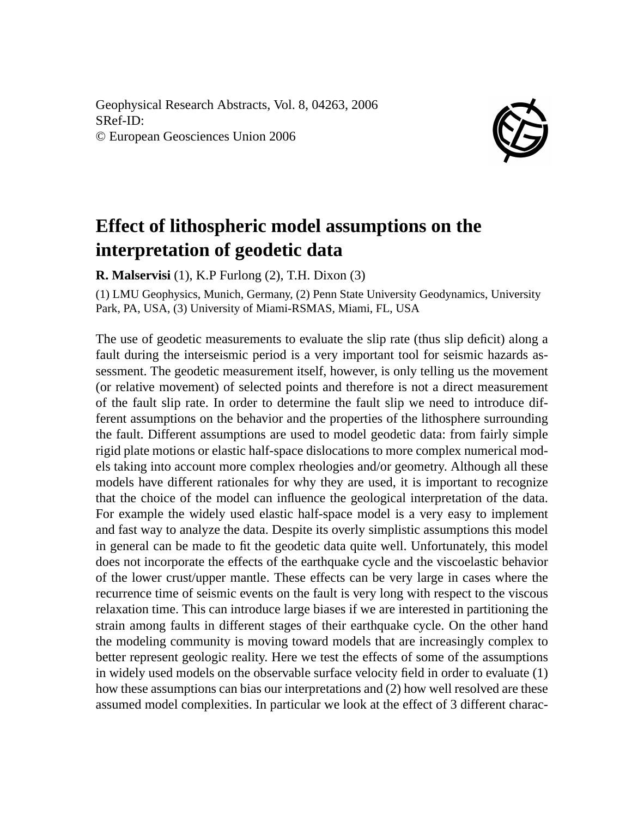Geophysical Research Abstracts, Vol. 8, 04263, 2006 SRef-ID: © European Geosciences Union 2006



## **Effect of lithospheric model assumptions on the interpretation of geodetic data**

**R. Malservisi** (1), K.P Furlong (2), T.H. Dixon (3)

(1) LMU Geophysics, Munich, Germany, (2) Penn State University Geodynamics, University Park, PA, USA, (3) University of Miami-RSMAS, Miami, FL, USA

The use of geodetic measurements to evaluate the slip rate (thus slip deficit) along a fault during the interseismic period is a very important tool for seismic hazards assessment. The geodetic measurement itself, however, is only telling us the movement (or relative movement) of selected points and therefore is not a direct measurement of the fault slip rate. In order to determine the fault slip we need to introduce different assumptions on the behavior and the properties of the lithosphere surrounding the fault. Different assumptions are used to model geodetic data: from fairly simple rigid plate motions or elastic half-space dislocations to more complex numerical models taking into account more complex rheologies and/or geometry. Although all these models have different rationales for why they are used, it is important to recognize that the choice of the model can influence the geological interpretation of the data. For example the widely used elastic half-space model is a very easy to implement and fast way to analyze the data. Despite its overly simplistic assumptions this model in general can be made to fit the geodetic data quite well. Unfortunately, this model does not incorporate the effects of the earthquake cycle and the viscoelastic behavior of the lower crust/upper mantle. These effects can be very large in cases where the recurrence time of seismic events on the fault is very long with respect to the viscous relaxation time. This can introduce large biases if we are interested in partitioning the strain among faults in different stages of their earthquake cycle. On the other hand the modeling community is moving toward models that are increasingly complex to better represent geologic reality. Here we test the effects of some of the assumptions in widely used models on the observable surface velocity field in order to evaluate (1) how these assumptions can bias our interpretations and (2) how well resolved are these assumed model complexities. In particular we look at the effect of 3 different charac